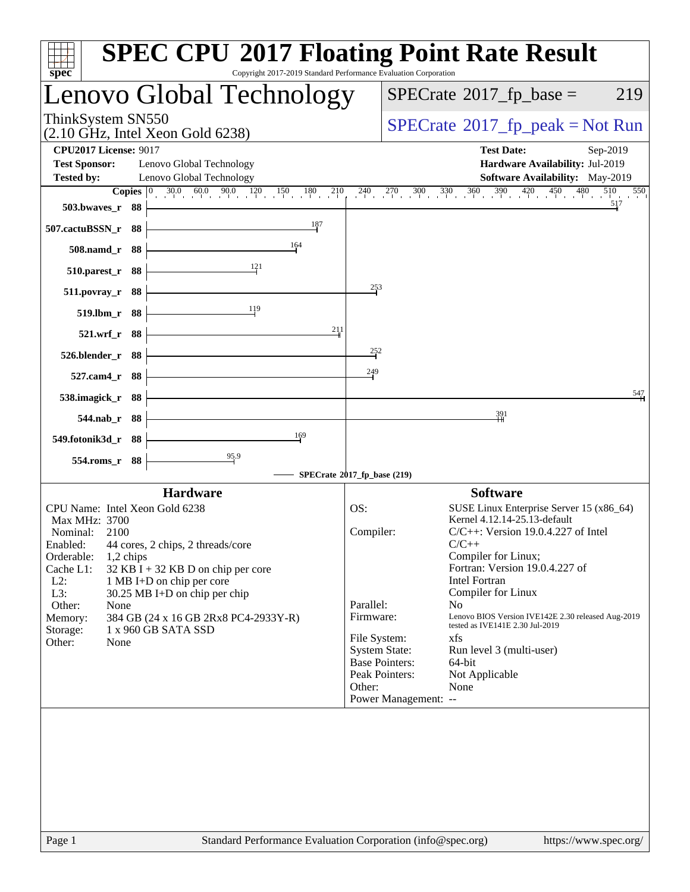| Copyright 2017-2019 Standard Performance Evaluation Corporation<br>$s\overline{p}\overline{e}\overline{c}$                                                                                                                                                                                                                                                                                                                         | <b>SPEC CPU®2017 Floating Point Rate Result</b>                                                                                                                                                                                                                                                                                                                                                                                                                                                                                                                                                             |
|------------------------------------------------------------------------------------------------------------------------------------------------------------------------------------------------------------------------------------------------------------------------------------------------------------------------------------------------------------------------------------------------------------------------------------|-------------------------------------------------------------------------------------------------------------------------------------------------------------------------------------------------------------------------------------------------------------------------------------------------------------------------------------------------------------------------------------------------------------------------------------------------------------------------------------------------------------------------------------------------------------------------------------------------------------|
| Lenovo Global Technology                                                                                                                                                                                                                                                                                                                                                                                                           | $SPECrate^{\circledast}2017$ _fp_base =<br>219                                                                                                                                                                                                                                                                                                                                                                                                                                                                                                                                                              |
| ThinkSystem SN550<br>$(2.10 \text{ GHz}, \text{Intel Xeon Gold } 6238)$                                                                                                                                                                                                                                                                                                                                                            | $SPECrate^{\circ}2017rfp peak = Not Run$                                                                                                                                                                                                                                                                                                                                                                                                                                                                                                                                                                    |
| <b>CPU2017 License: 9017</b><br><b>Test Sponsor:</b><br>Lenovo Global Technology<br>Lenovo Global Technology<br><b>Tested by:</b>                                                                                                                                                                                                                                                                                                  | <b>Test Date:</b><br>Sep-2019<br>Hardware Availability: Jul-2019<br><b>Software Availability:</b> May-2019                                                                                                                                                                                                                                                                                                                                                                                                                                                                                                  |
| $30.0$ $60.0$ $90.0$ $120$ $150$ $180$ $210$<br><b>Copies</b> $ 0 $<br>503.bwaves_r 88<br>187                                                                                                                                                                                                                                                                                                                                      | $-240$ $-270$ $-300$ $-330$ $-360$ $-390$ $-420$ $-450$ $-450$<br>480<br>510<br>550<br>517                                                                                                                                                                                                                                                                                                                                                                                                                                                                                                                  |
| 507.cactuBSSN_r 88<br>164<br>508.namd_r 88                                                                                                                                                                                                                                                                                                                                                                                         |                                                                                                                                                                                                                                                                                                                                                                                                                                                                                                                                                                                                             |
| 121<br>510.parest_r 88<br>511.povray_r 88                                                                                                                                                                                                                                                                                                                                                                                          | 253                                                                                                                                                                                                                                                                                                                                                                                                                                                                                                                                                                                                         |
| 119<br>519.lbm_r 88<br>211<br>521.wrf_r 88                                                                                                                                                                                                                                                                                                                                                                                         |                                                                                                                                                                                                                                                                                                                                                                                                                                                                                                                                                                                                             |
| 526.blender_r 88<br>$527$ .cam $4r$<br>- 88                                                                                                                                                                                                                                                                                                                                                                                        | 252<br>249                                                                                                                                                                                                                                                                                                                                                                                                                                                                                                                                                                                                  |
| 538.imagick_r<br>- 88<br>544.nab_r 88                                                                                                                                                                                                                                                                                                                                                                                              | 547<br>391                                                                                                                                                                                                                                                                                                                                                                                                                                                                                                                                                                                                  |
| 169<br>549.fotonik3d_r 88                                                                                                                                                                                                                                                                                                                                                                                                          |                                                                                                                                                                                                                                                                                                                                                                                                                                                                                                                                                                                                             |
| $\frac{95.9}{9}$<br>554.roms_r 88                                                                                                                                                                                                                                                                                                                                                                                                  | SPECrate®2017_fp_base (219)                                                                                                                                                                                                                                                                                                                                                                                                                                                                                                                                                                                 |
| <b>Hardware</b><br>CPU Name: Intel Xeon Gold 6238<br>Max MHz: 3700<br>Nominal:<br>2100<br>Enabled:<br>44 cores, 2 chips, 2 threads/core<br>Orderable:<br>$1,2$ chips<br>Cache L1:<br>$32$ KB I + 32 KB D on chip per core<br>$L2$ :<br>1 MB I+D on chip per core<br>L3:<br>30.25 MB I+D on chip per chip<br>Other:<br>None<br>384 GB (24 x 16 GB 2Rx8 PC4-2933Y-R)<br>Memory:<br>1 x 960 GB SATA SSD<br>Storage:<br>Other:<br>None | <b>Software</b><br>OS:<br>SUSE Linux Enterprise Server 15 (x86_64)<br>Kernel 4.12.14-25.13-default<br>Compiler:<br>$C/C++$ : Version 19.0.4.227 of Intel<br>$C/C++$<br>Compiler for Linux;<br>Fortran: Version 19.0.4.227 of<br><b>Intel Fortran</b><br>Compiler for Linux<br>Parallel:<br>N <sub>o</sub><br>Lenovo BIOS Version IVE142E 2.30 released Aug-2019<br>Firmware:<br>tested as IVE141E 2.30 Jul-2019<br>File System:<br>xfs<br><b>System State:</b><br>Run level 3 (multi-user)<br><b>Base Pointers:</b><br>64-bit<br>Peak Pointers:<br>Not Applicable<br>Other:<br>None<br>Power Management: -- |
| Standard Performance Evaluation Corporation (info@spec.org)<br>Page 1                                                                                                                                                                                                                                                                                                                                                              | https://www.spec.org/                                                                                                                                                                                                                                                                                                                                                                                                                                                                                                                                                                                       |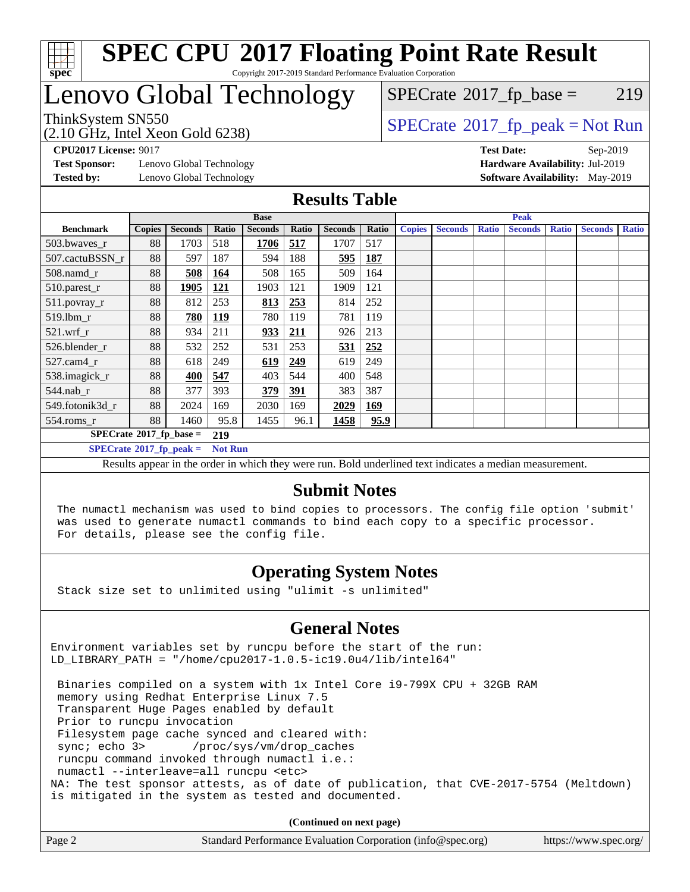

# Lenovo Global Technology

### $SPECTate@2017_fp\_base = 219$

(2.10 GHz, Intel Xeon Gold 6238)

ThinkSystem SN550<br>  $(2.10 \text{ GHz. Intel Yoon Gold } 6238)$  [SPECrate](http://www.spec.org/auto/cpu2017/Docs/result-fields.html#SPECrate2017fppeak)®[2017\\_fp\\_peak = N](http://www.spec.org/auto/cpu2017/Docs/result-fields.html#SPECrate2017fppeak)ot Run

**[Test Sponsor:](http://www.spec.org/auto/cpu2017/Docs/result-fields.html#TestSponsor)** Lenovo Global Technology **[Hardware Availability:](http://www.spec.org/auto/cpu2017/Docs/result-fields.html#HardwareAvailability)** Jul-2019 **[Tested by:](http://www.spec.org/auto/cpu2017/Docs/result-fields.html#Testedby)** Lenovo Global Technology **[Software Availability:](http://www.spec.org/auto/cpu2017/Docs/result-fields.html#SoftwareAvailability)** May-2019

**[CPU2017 License:](http://www.spec.org/auto/cpu2017/Docs/result-fields.html#CPU2017License)** 9017 **[Test Date:](http://www.spec.org/auto/cpu2017/Docs/result-fields.html#TestDate)** Sep-2019

#### **[Results Table](http://www.spec.org/auto/cpu2017/Docs/result-fields.html#ResultsTable)**

|                                              | <b>Base</b>   |                |            |                |            | <b>Peak</b>    |            |               |                |              |                |              |                |              |
|----------------------------------------------|---------------|----------------|------------|----------------|------------|----------------|------------|---------------|----------------|--------------|----------------|--------------|----------------|--------------|
| <b>Benchmark</b>                             | <b>Copies</b> | <b>Seconds</b> | Ratio      | <b>Seconds</b> | Ratio      | <b>Seconds</b> | Ratio      | <b>Copies</b> | <b>Seconds</b> | <b>Ratio</b> | <b>Seconds</b> | <b>Ratio</b> | <b>Seconds</b> | <b>Ratio</b> |
| 503.bwayes r                                 | 88            | 1703           | 518        | 1706           | 517        | 1707           | 517        |               |                |              |                |              |                |              |
| 507.cactuBSSN r                              | 88            | 597            | 187        | 594            | 188        | 595            | <b>187</b> |               |                |              |                |              |                |              |
| $508$ .namd $r$                              | 88            | 508            | <u>164</u> | 508            | 165        | 509            | 164        |               |                |              |                |              |                |              |
| 510.parest_r                                 | 88            | 1905           | <u>121</u> | 1903           | 121        | 1909           | 121        |               |                |              |                |              |                |              |
| 511.povray_r                                 | 88            | 812            | 253        | 813            | <u>253</u> | 814            | 252        |               |                |              |                |              |                |              |
| $519$ .lbm $r$                               | 88            | 780            | <u>119</u> | 780            | 119        | 781            | 119        |               |                |              |                |              |                |              |
| $521$ .wrf r                                 | 88            | 934            | 211        | 933            | <u>211</u> | 926            | 213        |               |                |              |                |              |                |              |
| 526.blender r                                | 88            | 532            | 252        | 531            | 253        | 531            | 252        |               |                |              |                |              |                |              |
| $527.cam4_r$                                 | 88            | 618            | 249        | 619            | 249        | 619            | 249        |               |                |              |                |              |                |              |
| 538.imagick_r                                | 88            | 400            | 547        | 403            | 544        | 400            | 548        |               |                |              |                |              |                |              |
| $544$ .nab r                                 | 88            | 377            | 393        | 379            | <u>391</u> | 383            | 387        |               |                |              |                |              |                |              |
| 549.fotonik3d r                              | 88            | 2024           | 169        | 2030           | 169        | 2029           | 169        |               |                |              |                |              |                |              |
| $554$ .roms_r                                | 88            | 1460           | 95.8       | 1455           | 96.1       | 1458           | 95.9       |               |                |              |                |              |                |              |
| $SPECrate^{\circ}2017$ _fp_base =<br>219     |               |                |            |                |            |                |            |               |                |              |                |              |                |              |
| $SPECrate^*2017_fp_peak =$<br><b>Not Run</b> |               |                |            |                |            |                |            |               |                |              |                |              |                |              |

Results appear in the [order in which they were run.](http://www.spec.org/auto/cpu2017/Docs/result-fields.html#RunOrder) Bold underlined text [indicates a median measurement.](http://www.spec.org/auto/cpu2017/Docs/result-fields.html#Median)

#### **[Submit Notes](http://www.spec.org/auto/cpu2017/Docs/result-fields.html#SubmitNotes)**

 The numactl mechanism was used to bind copies to processors. The config file option 'submit' was used to generate numactl commands to bind each copy to a specific processor. For details, please see the config file.

### **[Operating System Notes](http://www.spec.org/auto/cpu2017/Docs/result-fields.html#OperatingSystemNotes)**

Stack size set to unlimited using "ulimit -s unlimited"

### **[General Notes](http://www.spec.org/auto/cpu2017/Docs/result-fields.html#GeneralNotes)**

Environment variables set by runcpu before the start of the run: LD\_LIBRARY\_PATH = "/home/cpu2017-1.0.5-ic19.0u4/lib/intel64"

 Binaries compiled on a system with 1x Intel Core i9-799X CPU + 32GB RAM memory using Redhat Enterprise Linux 7.5 Transparent Huge Pages enabled by default Prior to runcpu invocation Filesystem page cache synced and cleared with: sync; echo 3> /proc/sys/vm/drop\_caches runcpu command invoked through numactl i.e.: numactl --interleave=all runcpu <etc> NA: The test sponsor attests, as of date of publication, that CVE-2017-5754 (Meltdown) is mitigated in the system as tested and documented.

**(Continued on next page)**

| Page 2<br>Standard Performance Evaluation Corporation (info@spec.org)<br>https://www.spec.org/ |
|------------------------------------------------------------------------------------------------|
|------------------------------------------------------------------------------------------------|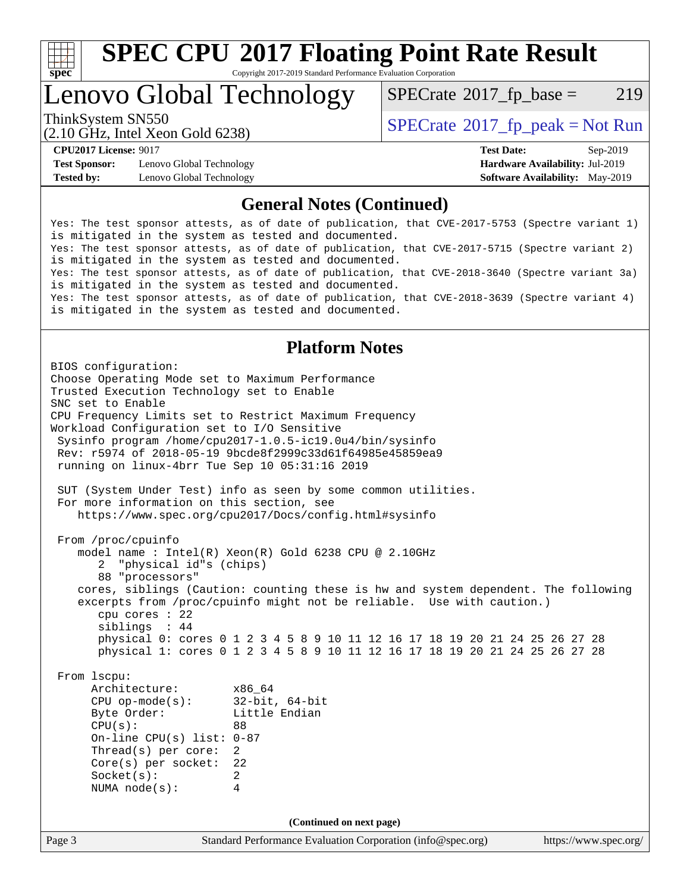

# **[SPEC CPU](http://www.spec.org/auto/cpu2017/Docs/result-fields.html#SPECCPU2017FloatingPointRateResult)[2017 Floating Point Rate Result](http://www.spec.org/auto/cpu2017/Docs/result-fields.html#SPECCPU2017FloatingPointRateResult)**

Copyright 2017-2019 Standard Performance Evaluation Corporation

Lenovo Global Technology

 $SPECTate@2017_fp\_base = 219$ 

(2.10 GHz, Intel Xeon Gold 6238)

ThinkSystem SN550<br>  $SPECTR_{10}$  [SPECrate](http://www.spec.org/auto/cpu2017/Docs/result-fields.html#SPECrate2017fppeak)®[2017\\_fp\\_peak = N](http://www.spec.org/auto/cpu2017/Docs/result-fields.html#SPECrate2017fppeak)ot Run

**[Test Sponsor:](http://www.spec.org/auto/cpu2017/Docs/result-fields.html#TestSponsor)** Lenovo Global Technology **[Hardware Availability:](http://www.spec.org/auto/cpu2017/Docs/result-fields.html#HardwareAvailability)** Jul-2019 **[Tested by:](http://www.spec.org/auto/cpu2017/Docs/result-fields.html#Testedby)** Lenovo Global Technology **[Software Availability:](http://www.spec.org/auto/cpu2017/Docs/result-fields.html#SoftwareAvailability)** May-2019

**[CPU2017 License:](http://www.spec.org/auto/cpu2017/Docs/result-fields.html#CPU2017License)** 9017 **[Test Date:](http://www.spec.org/auto/cpu2017/Docs/result-fields.html#TestDate)** Sep-2019

#### **[General Notes \(Continued\)](http://www.spec.org/auto/cpu2017/Docs/result-fields.html#GeneralNotes)**

Yes: The test sponsor attests, as of date of publication, that CVE-2017-5753 (Spectre variant 1) is mitigated in the system as tested and documented. Yes: The test sponsor attests, as of date of publication, that CVE-2017-5715 (Spectre variant 2) is mitigated in the system as tested and documented. Yes: The test sponsor attests, as of date of publication, that CVE-2018-3640 (Spectre variant 3a) is mitigated in the system as tested and documented. Yes: The test sponsor attests, as of date of publication, that CVE-2018-3639 (Spectre variant 4) is mitigated in the system as tested and documented.

### **[Platform Notes](http://www.spec.org/auto/cpu2017/Docs/result-fields.html#PlatformNotes)**

Page 3 Standard Performance Evaluation Corporation [\(info@spec.org\)](mailto:info@spec.org) <https://www.spec.org/> BIOS configuration: Choose Operating Mode set to Maximum Performance Trusted Execution Technology set to Enable SNC set to Enable CPU Frequency Limits set to Restrict Maximum Frequency Workload Configuration set to I/O Sensitive Sysinfo program /home/cpu2017-1.0.5-ic19.0u4/bin/sysinfo Rev: r5974 of 2018-05-19 9bcde8f2999c33d61f64985e45859ea9 running on linux-4brr Tue Sep 10 05:31:16 2019 SUT (System Under Test) info as seen by some common utilities. For more information on this section, see <https://www.spec.org/cpu2017/Docs/config.html#sysinfo> From /proc/cpuinfo model name : Intel(R) Xeon(R) Gold 6238 CPU @ 2.10GHz 2 "physical id"s (chips) 88 "processors" cores, siblings (Caution: counting these is hw and system dependent. The following excerpts from /proc/cpuinfo might not be reliable. Use with caution.) cpu cores : 22 siblings : 44 physical 0: cores 0 1 2 3 4 5 8 9 10 11 12 16 17 18 19 20 21 24 25 26 27 28 physical 1: cores 0 1 2 3 4 5 8 9 10 11 12 16 17 18 19 20 21 24 25 26 27 28 From lscpu: Architecture: x86\_64 CPU op-mode(s): 32-bit, 64-bit Byte Order: Little Endian CPU(s): 88 On-line CPU(s) list: 0-87 Thread(s) per core: 2 Core(s) per socket: 22 Socket(s): 2 NUMA node(s): 4 **(Continued on next page)**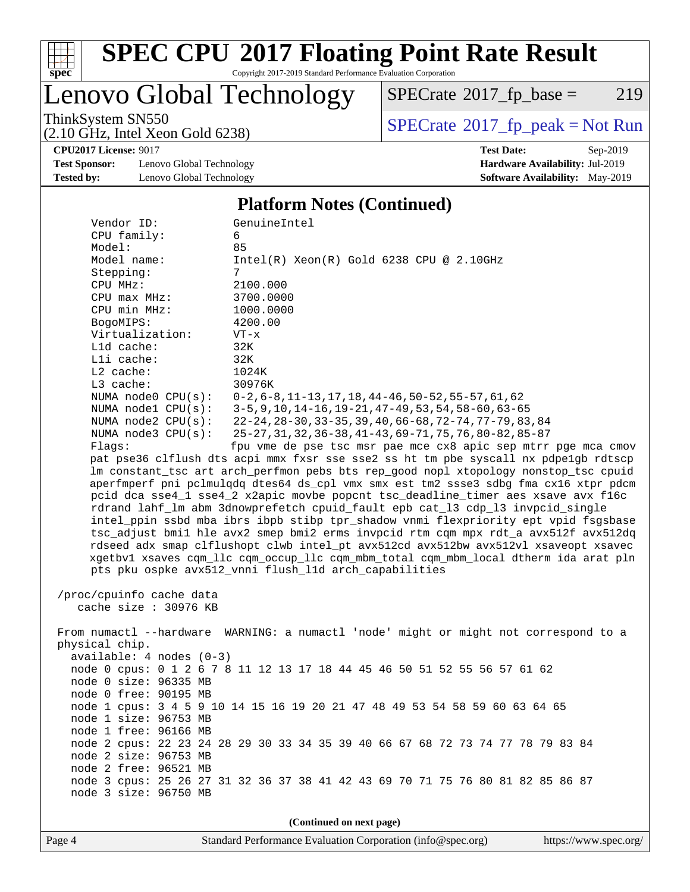

# **[SPEC CPU](http://www.spec.org/auto/cpu2017/Docs/result-fields.html#SPECCPU2017FloatingPointRateResult)[2017 Floating Point Rate Result](http://www.spec.org/auto/cpu2017/Docs/result-fields.html#SPECCPU2017FloatingPointRateResult)**

Copyright 2017-2019 Standard Performance Evaluation Corporation

Lenovo Global Technology

 $SPECTate@2017_fp\_base = 219$ 

(2.10 GHz, Intel Xeon Gold 6238)

ThinkSystem SN550<br>  $(2.10 \text{ GHz})$  Intel Yeon Gold 6238)

**[CPU2017 License:](http://www.spec.org/auto/cpu2017/Docs/result-fields.html#CPU2017License)** 9017 **[Test Date:](http://www.spec.org/auto/cpu2017/Docs/result-fields.html#TestDate)** Sep-2019

**[Test Sponsor:](http://www.spec.org/auto/cpu2017/Docs/result-fields.html#TestSponsor)** Lenovo Global Technology **[Hardware Availability:](http://www.spec.org/auto/cpu2017/Docs/result-fields.html#HardwareAvailability)** Jul-2019 **[Tested by:](http://www.spec.org/auto/cpu2017/Docs/result-fields.html#Testedby)** Lenovo Global Technology **[Software Availability:](http://www.spec.org/auto/cpu2017/Docs/result-fields.html#SoftwareAvailability)** May-2019

#### **[Platform Notes \(Continued\)](http://www.spec.org/auto/cpu2017/Docs/result-fields.html#PlatformNotes)**

| Vendor ID:                                                                                                                                                                  | GenuineIntel                                                                         |  |  |  |  |  |
|-----------------------------------------------------------------------------------------------------------------------------------------------------------------------------|--------------------------------------------------------------------------------------|--|--|--|--|--|
| CPU family:                                                                                                                                                                 | 6                                                                                    |  |  |  |  |  |
| Model:                                                                                                                                                                      | 85                                                                                   |  |  |  |  |  |
| Model name:                                                                                                                                                                 | $Intel(R) Xeon(R) Gold 6238 CPU @ 2.10GHz$                                           |  |  |  |  |  |
| Stepping:                                                                                                                                                                   | 7                                                                                    |  |  |  |  |  |
| CPU MHz:                                                                                                                                                                    | 2100.000                                                                             |  |  |  |  |  |
| CPU max MHz:                                                                                                                                                                | 3700.0000                                                                            |  |  |  |  |  |
| CPU min MHz:                                                                                                                                                                | 1000.0000                                                                            |  |  |  |  |  |
| BogoMIPS:                                                                                                                                                                   | 4200.00                                                                              |  |  |  |  |  |
| Virtualization:                                                                                                                                                             | $VT - x$                                                                             |  |  |  |  |  |
| Lld cache:                                                                                                                                                                  | 32K                                                                                  |  |  |  |  |  |
| Lli cache:                                                                                                                                                                  | 32K                                                                                  |  |  |  |  |  |
| L2 cache:                                                                                                                                                                   | 1024K                                                                                |  |  |  |  |  |
| L3 cache:                                                                                                                                                                   | 30976K                                                                               |  |  |  |  |  |
| NUMA node0 CPU(s):                                                                                                                                                          | $0-2, 6-8, 11-13, 17, 18, 44-46, 50-52, 55-57, 61, 62$                               |  |  |  |  |  |
| NUMA $model$ $CPU(s):$                                                                                                                                                      | 3-5, 9, 10, 14-16, 19-21, 47-49, 53, 54, 58-60, 63-65                                |  |  |  |  |  |
| NUMA $node2$ $CPU(s):$                                                                                                                                                      | 22-24, 28-30, 33-35, 39, 40, 66-68, 72-74, 77-79, 83, 84                             |  |  |  |  |  |
| NUMA $node3$ $CPU(s)$ :                                                                                                                                                     | 25-27, 31, 32, 36-38, 41-43, 69-71, 75, 76, 80-82, 85-87                             |  |  |  |  |  |
| Flags:                                                                                                                                                                      | fpu vme de pse tsc msr pae mce cx8 apic sep mtrr pge mca cmov                        |  |  |  |  |  |
|                                                                                                                                                                             | pat pse36 clflush dts acpi mmx fxsr sse sse2 ss ht tm pbe syscall nx pdpelgb rdtscp  |  |  |  |  |  |
|                                                                                                                                                                             | lm constant_tsc art arch_perfmon pebs bts rep_good nopl xtopology nonstop_tsc cpuid  |  |  |  |  |  |
|                                                                                                                                                                             | aperfmperf pni pclmulqdq dtes64 ds_cpl vmx smx est tm2 ssse3 sdbg fma cx16 xtpr pdcm |  |  |  |  |  |
|                                                                                                                                                                             | pcid dca sse4_1 sse4_2 x2apic movbe popcnt tsc_deadline_timer aes xsave avx f16c     |  |  |  |  |  |
|                                                                                                                                                                             | rdrand lahf_lm abm 3dnowprefetch cpuid_fault epb cat_13 cdp_13 invpcid_single        |  |  |  |  |  |
|                                                                                                                                                                             | intel_ppin ssbd mba ibrs ibpb stibp tpr_shadow vnmi flexpriority ept vpid fsgsbase   |  |  |  |  |  |
|                                                                                                                                                                             | tsc_adjust bmil hle avx2 smep bmi2 erms invpcid rtm cqm mpx rdt_a avx512f avx512dq   |  |  |  |  |  |
| rdseed adx smap clflushopt clwb intel_pt avx512cd avx512bw avx512vl xsaveopt xsavec<br>xgetbvl xsaves cqm_llc cqm_occup_llc cqm_mbm_total cqm_mbm_local dtherm ida arat pln |                                                                                      |  |  |  |  |  |
|                                                                                                                                                                             | pts pku ospke avx512_vnni flush_l1d arch_capabilities                                |  |  |  |  |  |
|                                                                                                                                                                             |                                                                                      |  |  |  |  |  |
| /proc/cpuinfo cache data                                                                                                                                                    |                                                                                      |  |  |  |  |  |
| cache size : 30976 KB                                                                                                                                                       |                                                                                      |  |  |  |  |  |
|                                                                                                                                                                             |                                                                                      |  |  |  |  |  |
|                                                                                                                                                                             | From numactl --hardware WARNING: a numactl 'node' might or might not correspond to a |  |  |  |  |  |
| physical chip.                                                                                                                                                              |                                                                                      |  |  |  |  |  |
| $available: 4 nodes (0-3)$                                                                                                                                                  |                                                                                      |  |  |  |  |  |
|                                                                                                                                                                             | node 0 cpus: 0 1 2 6 7 8 11 12 13 17 18 44 45 46 50 51 52 55 56 57 61 62             |  |  |  |  |  |
| node 0 size: 96335 MB                                                                                                                                                       |                                                                                      |  |  |  |  |  |
| node 0 free: 90195 MB                                                                                                                                                       |                                                                                      |  |  |  |  |  |
|                                                                                                                                                                             | node 1 cpus: 3 4 5 9 10 14 15 16 19 20 21 47 48 49 53 54 58 59 60 63 64 65           |  |  |  |  |  |
| node 1 size: 96753 MB                                                                                                                                                       |                                                                                      |  |  |  |  |  |
| node 1 free: 96166 MB                                                                                                                                                       |                                                                                      |  |  |  |  |  |
|                                                                                                                                                                             | node 2 cpus: 22 23 24 28 29 30 33 34 35 39 40 66 67 68 72 73 74 77 78 79 83 84       |  |  |  |  |  |
| node 2 size: 96753 MB                                                                                                                                                       |                                                                                      |  |  |  |  |  |
| node 2 free: 96521 MB                                                                                                                                                       |                                                                                      |  |  |  |  |  |
|                                                                                                                                                                             | node 3 cpus: 25 26 27 31 32 36 37 38 41 42 43 69 70 71 75 76 80 81 82 85 86 87       |  |  |  |  |  |
| node 3 size: 96750 MB                                                                                                                                                       |                                                                                      |  |  |  |  |  |
|                                                                                                                                                                             |                                                                                      |  |  |  |  |  |
| (Continued on next page)                                                                                                                                                    |                                                                                      |  |  |  |  |  |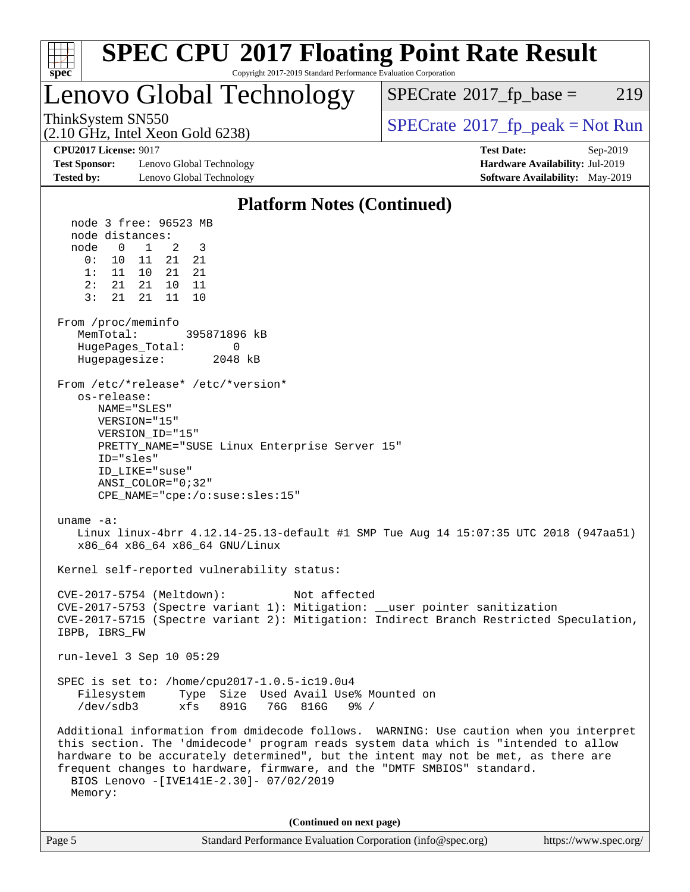

Page 5 Standard Performance Evaluation Corporation [\(info@spec.org\)](mailto:info@spec.org) <https://www.spec.org/>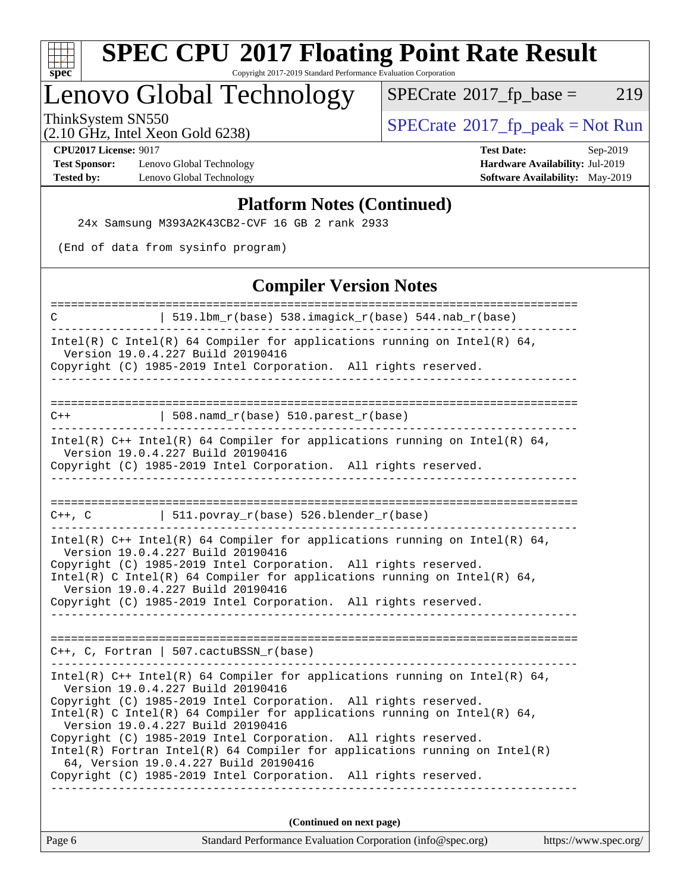

# **[SPEC CPU](http://www.spec.org/auto/cpu2017/Docs/result-fields.html#SPECCPU2017FloatingPointRateResult)[2017 Floating Point Rate Result](http://www.spec.org/auto/cpu2017/Docs/result-fields.html#SPECCPU2017FloatingPointRateResult)**

Copyright 2017-2019 Standard Performance Evaluation Corporation

## Lenovo Global Technology

 $SPECTate@2017_fp\_base = 219$ 

ThinkSystem SN550<br>  $(2.10 \text{ GHz})$  Intel Yeon Gold 6238)

(2.10 GHz, Intel Xeon Gold 6238) **[CPU2017 License:](http://www.spec.org/auto/cpu2017/Docs/result-fields.html#CPU2017License)** 9017 **[Test Date:](http://www.spec.org/auto/cpu2017/Docs/result-fields.html#TestDate)** Sep-2019

**[Test Sponsor:](http://www.spec.org/auto/cpu2017/Docs/result-fields.html#TestSponsor)** Lenovo Global Technology **[Hardware Availability:](http://www.spec.org/auto/cpu2017/Docs/result-fields.html#HardwareAvailability)** Jul-2019 **[Tested by:](http://www.spec.org/auto/cpu2017/Docs/result-fields.html#Testedby)** Lenovo Global Technology **[Software Availability:](http://www.spec.org/auto/cpu2017/Docs/result-fields.html#SoftwareAvailability)** May-2019

#### **[Platform Notes \(Continued\)](http://www.spec.org/auto/cpu2017/Docs/result-fields.html#PlatformNotes)**

24x Samsung M393A2K43CB2-CVF 16 GB 2 rank 2933

(End of data from sysinfo program)

### **[Compiler Version Notes](http://www.spec.org/auto/cpu2017/Docs/result-fields.html#CompilerVersionNotes)**

| Standard Performance Evaluation Corporation (info@spec.org)<br>https://www.spec.org/<br>Page 6                                                  |  |
|-------------------------------------------------------------------------------------------------------------------------------------------------|--|
| (Continued on next page)                                                                                                                        |  |
|                                                                                                                                                 |  |
| Copyright (C) 1985-2019 Intel Corporation. All rights reserved.                                                                                 |  |
| 64, Version 19.0.4.227 Build 20190416                                                                                                           |  |
| Copyright (C) 1985-2019 Intel Corporation. All rights reserved.<br>$Intel(R)$ Fortran Intel(R) 64 Compiler for applications running on Intel(R) |  |
| Version 19.0.4.227 Build 20190416                                                                                                               |  |
| Intel(R) C Intel(R) 64 Compiler for applications running on Intel(R) 64,                                                                        |  |
| Version 19.0.4.227 Build 20190416<br>Copyright (C) 1985-2019 Intel Corporation. All rights reserved.                                            |  |
| Intel(R) $C++$ Intel(R) 64 Compiler for applications running on Intel(R) 64,                                                                    |  |
|                                                                                                                                                 |  |
| $C++$ , C, Fortran   507.cactuBSSN_r(base)                                                                                                      |  |
|                                                                                                                                                 |  |
| Version 19.0.4.227 Build 20190416<br>Copyright (C) 1985-2019 Intel Corporation. All rights reserved.                                            |  |
| Intel(R) C Intel(R) 64 Compiler for applications running on Intel(R) 64,                                                                        |  |
| Version 19.0.4.227 Build 20190416<br>Copyright (C) 1985-2019 Intel Corporation. All rights reserved.                                            |  |
| Intel(R) $C++$ Intel(R) 64 Compiler for applications running on Intel(R) 64,                                                                    |  |
| C++, C $  511.povray_r(base) 526.blender_r(base)$                                                                                               |  |
|                                                                                                                                                 |  |
| Copyright (C) 1985-2019 Intel Corporation. All rights reserved.                                                                                 |  |
| Intel(R) $C++$ Intel(R) 64 Compiler for applications running on Intel(R) 64,<br>Version 19.0.4.227 Build 20190416                               |  |
|                                                                                                                                                 |  |
| $508.namd_r(base) 510.parest_r(base)$<br>$C++$                                                                                                  |  |
|                                                                                                                                                 |  |
| Version 19.0.4.227 Build 20190416<br>Copyright (C) 1985-2019 Intel Corporation. All rights reserved.                                            |  |
| Intel(R) C Intel(R) 64 Compiler for applications running on Intel(R) 64,                                                                        |  |
| $519.1bm_r(base) 538.imagick_r(base) 544. nab_r(base)$<br>C                                                                                     |  |
|                                                                                                                                                 |  |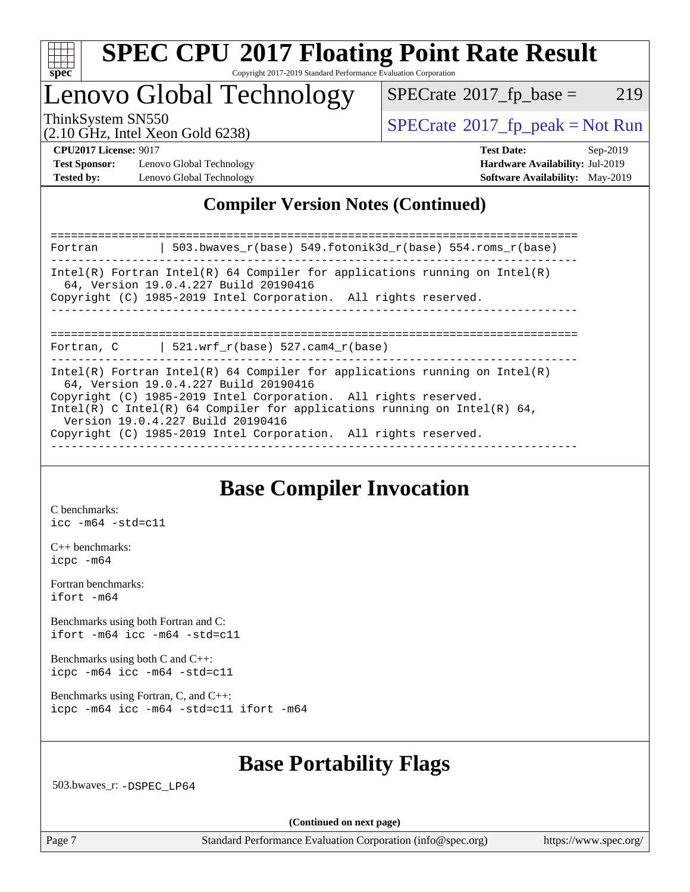

### Lenovo Global Technology

 $SPECTate@2017_fp\_base = 219$ 

(2.10 GHz, Intel Xeon Gold 6238)

ThinkSystem SN550<br>  $SPECTA = N \times 10^{11}$  [SPECrate](http://www.spec.org/auto/cpu2017/Docs/result-fields.html#SPECrate2017fppeak)®[2017\\_fp\\_peak = N](http://www.spec.org/auto/cpu2017/Docs/result-fields.html#SPECrate2017fppeak)ot Run

**[Test Sponsor:](http://www.spec.org/auto/cpu2017/Docs/result-fields.html#TestSponsor)** Lenovo Global Technology **[Hardware Availability:](http://www.spec.org/auto/cpu2017/Docs/result-fields.html#HardwareAvailability)** Jul-2019 **[Tested by:](http://www.spec.org/auto/cpu2017/Docs/result-fields.html#Testedby)** Lenovo Global Technology **[Software Availability:](http://www.spec.org/auto/cpu2017/Docs/result-fields.html#SoftwareAvailability)** May-2019

**[CPU2017 License:](http://www.spec.org/auto/cpu2017/Docs/result-fields.html#CPU2017License)** 9017 **[Test Date:](http://www.spec.org/auto/cpu2017/Docs/result-fields.html#TestDate)** Sep-2019

### **[Compiler Version Notes \(Continued\)](http://www.spec.org/auto/cpu2017/Docs/result-fields.html#CompilerVersionNotes)**

============================================================================== Fortran | 503.bwaves\_r(base) 549.fotonik3d\_r(base) 554.roms\_r(base) ------------------------------------------------------------------------------ Intel(R) Fortran Intel(R) 64 Compiler for applications running on Intel(R) 64, Version 19.0.4.227 Build 20190416 Copyright (C) 1985-2019 Intel Corporation. All rights reserved. ------------------------------------------------------------------------------ ============================================================================== Fortran, C  $| 521.wrf_r(base) 527.cam4_r(base)$ ------------------------------------------------------------------------------ Intel(R) Fortran Intel(R)  $64$  Compiler for applications running on Intel(R) 64, Version 19.0.4.227 Build 20190416 Copyright (C) 1985-2019 Intel Corporation. All rights reserved. Intel(R) C Intel(R) 64 Compiler for applications running on Intel(R) 64, Version 19.0.4.227 Build 20190416 Copyright (C) 1985-2019 Intel Corporation. All rights reserved. ------------------------------------------------------------------------------

### **[Base Compiler Invocation](http://www.spec.org/auto/cpu2017/Docs/result-fields.html#BaseCompilerInvocation)**

[C benchmarks](http://www.spec.org/auto/cpu2017/Docs/result-fields.html#Cbenchmarks): [icc -m64 -std=c11](http://www.spec.org/cpu2017/results/res2019q4/cpu2017-20190917-18262.flags.html#user_CCbase_intel_icc_64bit_c11_33ee0cdaae7deeeab2a9725423ba97205ce30f63b9926c2519791662299b76a0318f32ddfffdc46587804de3178b4f9328c46fa7c2b0cd779d7a61945c91cd35)

[C++ benchmarks:](http://www.spec.org/auto/cpu2017/Docs/result-fields.html#CXXbenchmarks) [icpc -m64](http://www.spec.org/cpu2017/results/res2019q4/cpu2017-20190917-18262.flags.html#user_CXXbase_intel_icpc_64bit_4ecb2543ae3f1412ef961e0650ca070fec7b7afdcd6ed48761b84423119d1bf6bdf5cad15b44d48e7256388bc77273b966e5eb805aefd121eb22e9299b2ec9d9)

[Fortran benchmarks](http://www.spec.org/auto/cpu2017/Docs/result-fields.html#Fortranbenchmarks): [ifort -m64](http://www.spec.org/cpu2017/results/res2019q4/cpu2017-20190917-18262.flags.html#user_FCbase_intel_ifort_64bit_24f2bb282fbaeffd6157abe4f878425411749daecae9a33200eee2bee2fe76f3b89351d69a8130dd5949958ce389cf37ff59a95e7a40d588e8d3a57e0c3fd751)

[Benchmarks using both Fortran and C](http://www.spec.org/auto/cpu2017/Docs/result-fields.html#BenchmarksusingbothFortranandC): [ifort -m64](http://www.spec.org/cpu2017/results/res2019q4/cpu2017-20190917-18262.flags.html#user_CC_FCbase_intel_ifort_64bit_24f2bb282fbaeffd6157abe4f878425411749daecae9a33200eee2bee2fe76f3b89351d69a8130dd5949958ce389cf37ff59a95e7a40d588e8d3a57e0c3fd751) [icc -m64 -std=c11](http://www.spec.org/cpu2017/results/res2019q4/cpu2017-20190917-18262.flags.html#user_CC_FCbase_intel_icc_64bit_c11_33ee0cdaae7deeeab2a9725423ba97205ce30f63b9926c2519791662299b76a0318f32ddfffdc46587804de3178b4f9328c46fa7c2b0cd779d7a61945c91cd35)

[Benchmarks using both C and C++](http://www.spec.org/auto/cpu2017/Docs/result-fields.html#BenchmarksusingbothCandCXX): [icpc -m64](http://www.spec.org/cpu2017/results/res2019q4/cpu2017-20190917-18262.flags.html#user_CC_CXXbase_intel_icpc_64bit_4ecb2543ae3f1412ef961e0650ca070fec7b7afdcd6ed48761b84423119d1bf6bdf5cad15b44d48e7256388bc77273b966e5eb805aefd121eb22e9299b2ec9d9) [icc -m64 -std=c11](http://www.spec.org/cpu2017/results/res2019q4/cpu2017-20190917-18262.flags.html#user_CC_CXXbase_intel_icc_64bit_c11_33ee0cdaae7deeeab2a9725423ba97205ce30f63b9926c2519791662299b76a0318f32ddfffdc46587804de3178b4f9328c46fa7c2b0cd779d7a61945c91cd35)

[Benchmarks using Fortran, C, and C++:](http://www.spec.org/auto/cpu2017/Docs/result-fields.html#BenchmarksusingFortranCandCXX) [icpc -m64](http://www.spec.org/cpu2017/results/res2019q4/cpu2017-20190917-18262.flags.html#user_CC_CXX_FCbase_intel_icpc_64bit_4ecb2543ae3f1412ef961e0650ca070fec7b7afdcd6ed48761b84423119d1bf6bdf5cad15b44d48e7256388bc77273b966e5eb805aefd121eb22e9299b2ec9d9) [icc -m64 -std=c11](http://www.spec.org/cpu2017/results/res2019q4/cpu2017-20190917-18262.flags.html#user_CC_CXX_FCbase_intel_icc_64bit_c11_33ee0cdaae7deeeab2a9725423ba97205ce30f63b9926c2519791662299b76a0318f32ddfffdc46587804de3178b4f9328c46fa7c2b0cd779d7a61945c91cd35) [ifort -m64](http://www.spec.org/cpu2017/results/res2019q4/cpu2017-20190917-18262.flags.html#user_CC_CXX_FCbase_intel_ifort_64bit_24f2bb282fbaeffd6157abe4f878425411749daecae9a33200eee2bee2fe76f3b89351d69a8130dd5949958ce389cf37ff59a95e7a40d588e8d3a57e0c3fd751)

### **[Base Portability Flags](http://www.spec.org/auto/cpu2017/Docs/result-fields.html#BasePortabilityFlags)**

503.bwaves\_r: [-DSPEC\\_LP64](http://www.spec.org/cpu2017/results/res2019q4/cpu2017-20190917-18262.flags.html#suite_basePORTABILITY503_bwaves_r_DSPEC_LP64)

**(Continued on next page)**

Page 7 Standard Performance Evaluation Corporation [\(info@spec.org\)](mailto:info@spec.org) <https://www.spec.org/>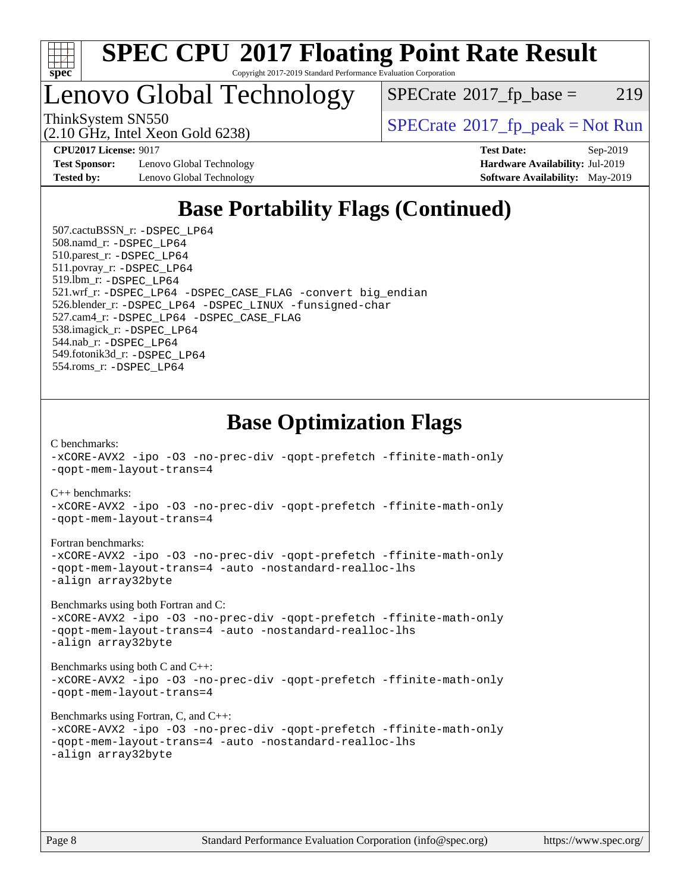

Lenovo Global Technology

 $SPECTate@2017_fp\_base = 219$ 

(2.10 GHz, Intel Xeon Gold 6238)

ThinkSystem SN550<br>  $SPECTR_{10}$  [SPECrate](http://www.spec.org/auto/cpu2017/Docs/result-fields.html#SPECrate2017fppeak)®[2017\\_fp\\_peak = N](http://www.spec.org/auto/cpu2017/Docs/result-fields.html#SPECrate2017fppeak)ot Run

**[Test Sponsor:](http://www.spec.org/auto/cpu2017/Docs/result-fields.html#TestSponsor)** Lenovo Global Technology **[Hardware Availability:](http://www.spec.org/auto/cpu2017/Docs/result-fields.html#HardwareAvailability)** Jul-2019 **[Tested by:](http://www.spec.org/auto/cpu2017/Docs/result-fields.html#Testedby)** Lenovo Global Technology **[Software Availability:](http://www.spec.org/auto/cpu2017/Docs/result-fields.html#SoftwareAvailability)** May-2019

**[CPU2017 License:](http://www.spec.org/auto/cpu2017/Docs/result-fields.html#CPU2017License)** 9017 **[Test Date:](http://www.spec.org/auto/cpu2017/Docs/result-fields.html#TestDate)** Sep-2019

### **[Base Portability Flags \(Continued\)](http://www.spec.org/auto/cpu2017/Docs/result-fields.html#BasePortabilityFlags)**

 507.cactuBSSN\_r: [-DSPEC\\_LP64](http://www.spec.org/cpu2017/results/res2019q4/cpu2017-20190917-18262.flags.html#suite_basePORTABILITY507_cactuBSSN_r_DSPEC_LP64) 508.namd\_r: [-DSPEC\\_LP64](http://www.spec.org/cpu2017/results/res2019q4/cpu2017-20190917-18262.flags.html#suite_basePORTABILITY508_namd_r_DSPEC_LP64) 510.parest\_r: [-DSPEC\\_LP64](http://www.spec.org/cpu2017/results/res2019q4/cpu2017-20190917-18262.flags.html#suite_basePORTABILITY510_parest_r_DSPEC_LP64) 511.povray\_r: [-DSPEC\\_LP64](http://www.spec.org/cpu2017/results/res2019q4/cpu2017-20190917-18262.flags.html#suite_basePORTABILITY511_povray_r_DSPEC_LP64) 519.lbm\_r: [-DSPEC\\_LP64](http://www.spec.org/cpu2017/results/res2019q4/cpu2017-20190917-18262.flags.html#suite_basePORTABILITY519_lbm_r_DSPEC_LP64) 521.wrf\_r: [-DSPEC\\_LP64](http://www.spec.org/cpu2017/results/res2019q4/cpu2017-20190917-18262.flags.html#suite_basePORTABILITY521_wrf_r_DSPEC_LP64) [-DSPEC\\_CASE\\_FLAG](http://www.spec.org/cpu2017/results/res2019q4/cpu2017-20190917-18262.flags.html#b521.wrf_r_baseCPORTABILITY_DSPEC_CASE_FLAG) [-convert big\\_endian](http://www.spec.org/cpu2017/results/res2019q4/cpu2017-20190917-18262.flags.html#user_baseFPORTABILITY521_wrf_r_convert_big_endian_c3194028bc08c63ac5d04de18c48ce6d347e4e562e8892b8bdbdc0214820426deb8554edfa529a3fb25a586e65a3d812c835984020483e7e73212c4d31a38223) 526.blender\_r: [-DSPEC\\_LP64](http://www.spec.org/cpu2017/results/res2019q4/cpu2017-20190917-18262.flags.html#suite_basePORTABILITY526_blender_r_DSPEC_LP64) [-DSPEC\\_LINUX](http://www.spec.org/cpu2017/results/res2019q4/cpu2017-20190917-18262.flags.html#b526.blender_r_baseCPORTABILITY_DSPEC_LINUX) [-funsigned-char](http://www.spec.org/cpu2017/results/res2019q4/cpu2017-20190917-18262.flags.html#user_baseCPORTABILITY526_blender_r_force_uchar_40c60f00ab013830e2dd6774aeded3ff59883ba5a1fc5fc14077f794d777847726e2a5858cbc7672e36e1b067e7e5c1d9a74f7176df07886a243d7cc18edfe67) 527.cam4\_r: [-DSPEC\\_LP64](http://www.spec.org/cpu2017/results/res2019q4/cpu2017-20190917-18262.flags.html#suite_basePORTABILITY527_cam4_r_DSPEC_LP64) [-DSPEC\\_CASE\\_FLAG](http://www.spec.org/cpu2017/results/res2019q4/cpu2017-20190917-18262.flags.html#b527.cam4_r_baseCPORTABILITY_DSPEC_CASE_FLAG) 538.imagick\_r: [-DSPEC\\_LP64](http://www.spec.org/cpu2017/results/res2019q4/cpu2017-20190917-18262.flags.html#suite_basePORTABILITY538_imagick_r_DSPEC_LP64) 544.nab\_r: [-DSPEC\\_LP64](http://www.spec.org/cpu2017/results/res2019q4/cpu2017-20190917-18262.flags.html#suite_basePORTABILITY544_nab_r_DSPEC_LP64) 549.fotonik3d\_r: [-DSPEC\\_LP64](http://www.spec.org/cpu2017/results/res2019q4/cpu2017-20190917-18262.flags.html#suite_basePORTABILITY549_fotonik3d_r_DSPEC_LP64) 554.roms\_r: [-DSPEC\\_LP64](http://www.spec.org/cpu2017/results/res2019q4/cpu2017-20190917-18262.flags.html#suite_basePORTABILITY554_roms_r_DSPEC_LP64)

### **[Base Optimization Flags](http://www.spec.org/auto/cpu2017/Docs/result-fields.html#BaseOptimizationFlags)**

[C benchmarks](http://www.spec.org/auto/cpu2017/Docs/result-fields.html#Cbenchmarks): [-xCORE-AVX2](http://www.spec.org/cpu2017/results/res2019q4/cpu2017-20190917-18262.flags.html#user_CCbase_f-xCORE-AVX2) [-ipo](http://www.spec.org/cpu2017/results/res2019q4/cpu2017-20190917-18262.flags.html#user_CCbase_f-ipo) [-O3](http://www.spec.org/cpu2017/results/res2019q4/cpu2017-20190917-18262.flags.html#user_CCbase_f-O3) [-no-prec-div](http://www.spec.org/cpu2017/results/res2019q4/cpu2017-20190917-18262.flags.html#user_CCbase_f-no-prec-div) [-qopt-prefetch](http://www.spec.org/cpu2017/results/res2019q4/cpu2017-20190917-18262.flags.html#user_CCbase_f-qopt-prefetch) [-ffinite-math-only](http://www.spec.org/cpu2017/results/res2019q4/cpu2017-20190917-18262.flags.html#user_CCbase_f_finite_math_only_cb91587bd2077682c4b38af759c288ed7c732db004271a9512da14a4f8007909a5f1427ecbf1a0fb78ff2a814402c6114ac565ca162485bbcae155b5e4258871) [-qopt-mem-layout-trans=4](http://www.spec.org/cpu2017/results/res2019q4/cpu2017-20190917-18262.flags.html#user_CCbase_f-qopt-mem-layout-trans_fa39e755916c150a61361b7846f310bcdf6f04e385ef281cadf3647acec3f0ae266d1a1d22d972a7087a248fd4e6ca390a3634700869573d231a252c784941a8)

[C++ benchmarks:](http://www.spec.org/auto/cpu2017/Docs/result-fields.html#CXXbenchmarks)

[-xCORE-AVX2](http://www.spec.org/cpu2017/results/res2019q4/cpu2017-20190917-18262.flags.html#user_CXXbase_f-xCORE-AVX2) [-ipo](http://www.spec.org/cpu2017/results/res2019q4/cpu2017-20190917-18262.flags.html#user_CXXbase_f-ipo) [-O3](http://www.spec.org/cpu2017/results/res2019q4/cpu2017-20190917-18262.flags.html#user_CXXbase_f-O3) [-no-prec-div](http://www.spec.org/cpu2017/results/res2019q4/cpu2017-20190917-18262.flags.html#user_CXXbase_f-no-prec-div) [-qopt-prefetch](http://www.spec.org/cpu2017/results/res2019q4/cpu2017-20190917-18262.flags.html#user_CXXbase_f-qopt-prefetch) [-ffinite-math-only](http://www.spec.org/cpu2017/results/res2019q4/cpu2017-20190917-18262.flags.html#user_CXXbase_f_finite_math_only_cb91587bd2077682c4b38af759c288ed7c732db004271a9512da14a4f8007909a5f1427ecbf1a0fb78ff2a814402c6114ac565ca162485bbcae155b5e4258871) [-qopt-mem-layout-trans=4](http://www.spec.org/cpu2017/results/res2019q4/cpu2017-20190917-18262.flags.html#user_CXXbase_f-qopt-mem-layout-trans_fa39e755916c150a61361b7846f310bcdf6f04e385ef281cadf3647acec3f0ae266d1a1d22d972a7087a248fd4e6ca390a3634700869573d231a252c784941a8)

[Fortran benchmarks](http://www.spec.org/auto/cpu2017/Docs/result-fields.html#Fortranbenchmarks):

[-xCORE-AVX2](http://www.spec.org/cpu2017/results/res2019q4/cpu2017-20190917-18262.flags.html#user_FCbase_f-xCORE-AVX2) [-ipo](http://www.spec.org/cpu2017/results/res2019q4/cpu2017-20190917-18262.flags.html#user_FCbase_f-ipo) [-O3](http://www.spec.org/cpu2017/results/res2019q4/cpu2017-20190917-18262.flags.html#user_FCbase_f-O3) [-no-prec-div](http://www.spec.org/cpu2017/results/res2019q4/cpu2017-20190917-18262.flags.html#user_FCbase_f-no-prec-div) [-qopt-prefetch](http://www.spec.org/cpu2017/results/res2019q4/cpu2017-20190917-18262.flags.html#user_FCbase_f-qopt-prefetch) [-ffinite-math-only](http://www.spec.org/cpu2017/results/res2019q4/cpu2017-20190917-18262.flags.html#user_FCbase_f_finite_math_only_cb91587bd2077682c4b38af759c288ed7c732db004271a9512da14a4f8007909a5f1427ecbf1a0fb78ff2a814402c6114ac565ca162485bbcae155b5e4258871) [-qopt-mem-layout-trans=4](http://www.spec.org/cpu2017/results/res2019q4/cpu2017-20190917-18262.flags.html#user_FCbase_f-qopt-mem-layout-trans_fa39e755916c150a61361b7846f310bcdf6f04e385ef281cadf3647acec3f0ae266d1a1d22d972a7087a248fd4e6ca390a3634700869573d231a252c784941a8) [-auto](http://www.spec.org/cpu2017/results/res2019q4/cpu2017-20190917-18262.flags.html#user_FCbase_f-auto) [-nostandard-realloc-lhs](http://www.spec.org/cpu2017/results/res2019q4/cpu2017-20190917-18262.flags.html#user_FCbase_f_2003_std_realloc_82b4557e90729c0f113870c07e44d33d6f5a304b4f63d4c15d2d0f1fab99f5daaed73bdb9275d9ae411527f28b936061aa8b9c8f2d63842963b95c9dd6426b8a) [-align array32byte](http://www.spec.org/cpu2017/results/res2019q4/cpu2017-20190917-18262.flags.html#user_FCbase_align_array32byte_b982fe038af199962ba9a80c053b8342c548c85b40b8e86eb3cc33dee0d7986a4af373ac2d51c3f7cf710a18d62fdce2948f201cd044323541f22fc0fffc51b6)

[Benchmarks using both Fortran and C](http://www.spec.org/auto/cpu2017/Docs/result-fields.html#BenchmarksusingbothFortranandC):

[-xCORE-AVX2](http://www.spec.org/cpu2017/results/res2019q4/cpu2017-20190917-18262.flags.html#user_CC_FCbase_f-xCORE-AVX2) [-ipo](http://www.spec.org/cpu2017/results/res2019q4/cpu2017-20190917-18262.flags.html#user_CC_FCbase_f-ipo) [-O3](http://www.spec.org/cpu2017/results/res2019q4/cpu2017-20190917-18262.flags.html#user_CC_FCbase_f-O3) [-no-prec-div](http://www.spec.org/cpu2017/results/res2019q4/cpu2017-20190917-18262.flags.html#user_CC_FCbase_f-no-prec-div) [-qopt-prefetch](http://www.spec.org/cpu2017/results/res2019q4/cpu2017-20190917-18262.flags.html#user_CC_FCbase_f-qopt-prefetch) [-ffinite-math-only](http://www.spec.org/cpu2017/results/res2019q4/cpu2017-20190917-18262.flags.html#user_CC_FCbase_f_finite_math_only_cb91587bd2077682c4b38af759c288ed7c732db004271a9512da14a4f8007909a5f1427ecbf1a0fb78ff2a814402c6114ac565ca162485bbcae155b5e4258871) [-qopt-mem-layout-trans=4](http://www.spec.org/cpu2017/results/res2019q4/cpu2017-20190917-18262.flags.html#user_CC_FCbase_f-qopt-mem-layout-trans_fa39e755916c150a61361b7846f310bcdf6f04e385ef281cadf3647acec3f0ae266d1a1d22d972a7087a248fd4e6ca390a3634700869573d231a252c784941a8) [-auto](http://www.spec.org/cpu2017/results/res2019q4/cpu2017-20190917-18262.flags.html#user_CC_FCbase_f-auto) [-nostandard-realloc-lhs](http://www.spec.org/cpu2017/results/res2019q4/cpu2017-20190917-18262.flags.html#user_CC_FCbase_f_2003_std_realloc_82b4557e90729c0f113870c07e44d33d6f5a304b4f63d4c15d2d0f1fab99f5daaed73bdb9275d9ae411527f28b936061aa8b9c8f2d63842963b95c9dd6426b8a) [-align array32byte](http://www.spec.org/cpu2017/results/res2019q4/cpu2017-20190917-18262.flags.html#user_CC_FCbase_align_array32byte_b982fe038af199962ba9a80c053b8342c548c85b40b8e86eb3cc33dee0d7986a4af373ac2d51c3f7cf710a18d62fdce2948f201cd044323541f22fc0fffc51b6)

[Benchmarks using both C and C++](http://www.spec.org/auto/cpu2017/Docs/result-fields.html#BenchmarksusingbothCandCXX): [-xCORE-AVX2](http://www.spec.org/cpu2017/results/res2019q4/cpu2017-20190917-18262.flags.html#user_CC_CXXbase_f-xCORE-AVX2) [-ipo](http://www.spec.org/cpu2017/results/res2019q4/cpu2017-20190917-18262.flags.html#user_CC_CXXbase_f-ipo) [-O3](http://www.spec.org/cpu2017/results/res2019q4/cpu2017-20190917-18262.flags.html#user_CC_CXXbase_f-O3) [-no-prec-div](http://www.spec.org/cpu2017/results/res2019q4/cpu2017-20190917-18262.flags.html#user_CC_CXXbase_f-no-prec-div) [-qopt-prefetch](http://www.spec.org/cpu2017/results/res2019q4/cpu2017-20190917-18262.flags.html#user_CC_CXXbase_f-qopt-prefetch) [-ffinite-math-only](http://www.spec.org/cpu2017/results/res2019q4/cpu2017-20190917-18262.flags.html#user_CC_CXXbase_f_finite_math_only_cb91587bd2077682c4b38af759c288ed7c732db004271a9512da14a4f8007909a5f1427ecbf1a0fb78ff2a814402c6114ac565ca162485bbcae155b5e4258871) [-qopt-mem-layout-trans=4](http://www.spec.org/cpu2017/results/res2019q4/cpu2017-20190917-18262.flags.html#user_CC_CXXbase_f-qopt-mem-layout-trans_fa39e755916c150a61361b7846f310bcdf6f04e385ef281cadf3647acec3f0ae266d1a1d22d972a7087a248fd4e6ca390a3634700869573d231a252c784941a8)

[Benchmarks using Fortran, C, and C++:](http://www.spec.org/auto/cpu2017/Docs/result-fields.html#BenchmarksusingFortranCandCXX)

```
-xCORE-AVX2 -ipo -O3 -no-prec-div -qopt-prefetch -ffinite-math-only
-qopt-mem-layout-trans=4 -auto -nostandard-realloc-lhs
-align array32byte
```